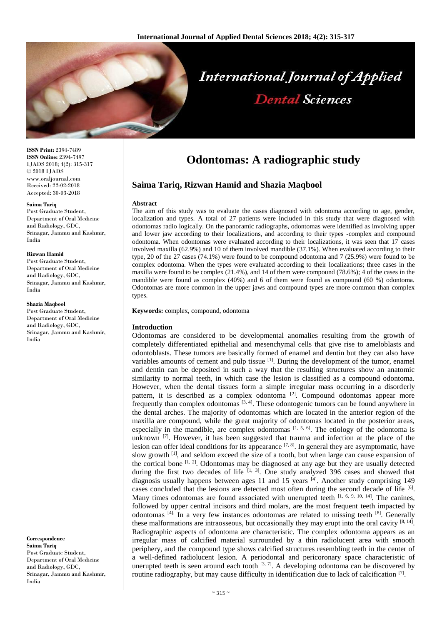

**ISSN Print:** 2394-7489 **ISSN Online:** 2394-7497 IJADS 2018; 4(2): 315-317 © 2018 IJADS www.oraljournal.com Received: 22-02-2018 Accepted: 30-03-2018

#### **Saima Tariq**

Post Graduate Student, Department of Oral Medicine and Radiology, GDC, Srinagar, Jammu and Kashmir, India

#### **Rizwan Hamid**

Post Graduate Student, Department of Oral Medicine and Radiology, GDC, Srinagar, Jammu and Kashmir, India

#### **Shazia Maqbool**

Post Graduate Student, Department of Oral Medicine and Radiology, GDC, Srinagar, Jammu and Kashmir, India

**Correspondence Saima Tariq** Post Graduate Student, Department of Oral Medicine and Radiology, GDC, Srinagar, Jammu and Kashmir, India

# **Odontomas: A radiographic study**

# **Saima Tariq, Rizwan Hamid and Shazia Maqbool**

#### **Abstract**

The aim of this study was to evaluate the cases diagnosed with odontoma according to age, gender, localization and types. A total of 27 patients were included in this study that were diagnosed with odontomas radio logically. On the panoramic radiographs, odontomas were identified as involving upper and lower jaw according to their localizations, and according to their types -complex and compound odontoma. When odontomas were evaluated according to their localizations, it was seen that 17 cases involved maxilla (62.9%) and 10 of them involved mandible (37.1%). When evaluated according to their type, 20 of the 27 cases (74.1%) were found to be compound odontoma and 7 (25.9%) were found to be complex odontoma. When the types were evaluated according to their localizations; three cases in the maxilla were found to be complex (21.4%), and 14 of them were compound (78.6%); 4 of the cases in the mandible were found as complex (40%) and 6 of them were found as compound (60 %) odontoma. Odontomas are more common in the upper jaws and compound types are more common than complex types.

**Keywords:** complex, compound, odontoma

## **Introduction**

Odontomas are considered to be developmental anomalies resulting from the growth of completely differentiated epithelial and mesenchymal cells that give rise to ameloblasts and odontoblasts. These tumors are basically formed of enamel and dentin but they can also have variables amounts of cement and pulp tissue  $[1]$ . During the development of the tumor, enamel and dentin can be deposited in such a way that the resulting structures show an anatomic similarity to normal teeth, in which case the lesion is classified as a compound odontoma. However, when the dental tissues form a simple irregular mass occurring in a disorderly pattern, it is described as a complex odontoma<sup>[2]</sup>. Compound odontomas appear more frequently than complex odontomas  $[3, 4]$ . These odontogenic tumors can be found anywhere in the dental arches. The majority of odontomas which are located in the anterior region of the maxilla are compound, while the great majority of odontomas located in the posterior areas, especially in the mandible, are complex odontomas  $[1, 5, 6]$ . The etiology of the odontoma is unknown  $^{[7]}$ . However, it has been suggested that trauma and infection at the place of the lesion can offer ideal conditions for its appearance  $[7, 8]$ . In general they are asymptomatic, have slow growth <sup>[1]</sup>, and seldom exceed the size of a tooth, but when large can cause expansion of the cortical bone  $\left[1, 2\right]$ . Odontomas may be diagnosed at any age but they are usually detected during the first two decades of life  $[1, 3]$ . One study analyzed 396 cases and showed that diagnosis usually happens between ages 11 and 15 years [4]. Another study comprising 149 cases concluded that the lesions are detected most often during the second decade of life  $\left[6\right]$ . Many times odontomas are found associated with unerupted teeth  $[1, 6, 9, 10, 14]$ . The canines, followed by upper central incisors and third molars, are the most frequent teeth impacted by odontomas  $[4]$ . In a very few instances odontomas are related to missing teeth  $[8]$ . Generally these malformations are intraosseous, but occasionally they may erupt into the oral cavity  $[8, 14]$ . Radiographic aspects of odontoma are characteristic. The complex odontoma appears as an irregular mass of calcified material surrounded by a thin radiolucent area with smooth periphery, and the compound type shows calcified structures resembling teeth in the center of a well-defined radiolucent lesion. A periodontal and pericoronary space characteristic of unerupted teeth is seen around each tooth  $[3, 7]$ . A developing odontoma can be discovered by routine radiography, but may cause difficulty in identification due to lack of calcification [7].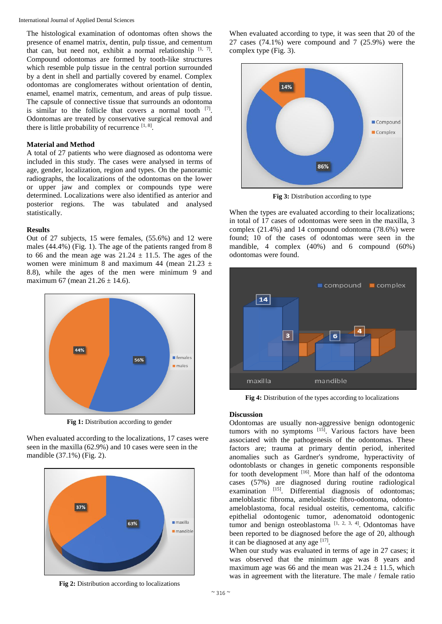The histological examination of odontomas often shows the presence of enamel matrix, dentin, pulp tissue, and cementum that can, but need not, exhibit a normal relationship  $[1, 7]$ . Compound odontomas are formed by tooth-like structures which resemble pulp tissue in the central portion surrounded by a dent in shell and partially covered by enamel. Complex odontomas are conglomerates without orientation of dentin, enamel, enamel matrix, cementum, and areas of pulp tissue. The capsule of connective tissue that surrounds an odontoma is similar to the follicle that covers a normal tooth  $[7]$ . Odontomas are treated by conservative surgical removal and there is little probability of recurrence  $[1, 8]$ .

## **Material and Method**

A total of 27 patients who were diagnosed as odontoma were included in this study. The cases were analysed in terms of age, gender, localization, region and types. On the panoramic radiographs, the localizations of the odontomas on the lower or upper jaw and complex or compounds type were determined. Localizations were also identified as anterior and posterior regions. The was tabulated and analysed statistically.

### **Results**

Out of 27 subjects, 15 were females, (55.6%) and 12 were males (44.4%) (Fig. 1). The age of the patients ranged from 8 to 66 and the mean age was  $21.24 \pm 11.5$ . The ages of the women were minimum 8 and maximum 44 (mean 21.23  $\pm$ 8.8), while the ages of the men were minimum 9 and maximum 67 (mean  $21.26 \pm 14.6$ ).



**Fig 1:** Distribution according to gender

When evaluated according to the localizations, 17 cases were seen in the maxilla (62.9%) and 10 cases were seen in the mandible (37.1%) (Fig. 2).



**Fig 2:** Distribution according to localizations



**Fig 3:** Distribution according to type

When the types are evaluated according to their localizations; in total of 17 cases of odontomas were seen in the maxilla, 3 complex (21.4%) and 14 compound odontoma (78.6%) were found; 10 of the cases of odontomas were seen in the mandible, 4 complex (40%) and 6 compound (60%) odontomas were found.



**Fig 4:** Distribution of the types according to localizations

### **Discussion**

Odontomas are usually non-aggressive benign odontogenic tumors with no symptoms [15]. Various factors have been associated with the pathogenesis of the odontomas. These factors are; trauma at primary dentin period, inherited anomalies such as Gardner's syndrome, hyperactivity of odontoblasts or changes in genetic components responsible for tooth development [16]. More than half of the odontoma cases (57%) are diagnosed during routine radiological examination [15]. Differential diagnosis of odontomas; ameloblastic fibroma, ameloblastic fibro-odontoma, odontoameloblastoma, focal residual osteitis, cementoma, calcific epithelial odontogenic tumor, adenomatoid odontogenic tumor and benign osteoblastoma  $[1, 2, 3, 4]$ . Odontomas have been reported to be diagnosed before the age of 20, although it can be diagnosed at any age [17].

When our study was evaluated in terms of age in 27 cases; it was observed that the minimum age was 8 years and maximum age was 66 and the mean was  $21.24 \pm 11.5$ , which was in agreement with the literature. The male / female ratio